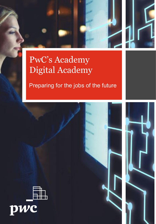



# PwC's Academy Digital Academy

# Preparing for the jobs of the future



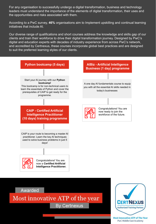For any organisation to successfully undergo a digital transformation, business and technology leaders must understand the importance of the elements of digital transformation, their uses and the opportunities and risks associated with them.

According to a PwC survey, **46%** organisations aim to Implement upskilling and continual learning initiatives that include AI.

Our diverse range of qualifications and short courses address the knowledge and skills gap of our clients and train their workforce to drive their digital transformation journey. Designed by PwC's digital and education experts with decades of industry experience from across PwC's network, and accredited by Certnexus, these courses incorporate global best practices and are designed to suit the preferred learning styles of our clients.



Awarded

Most innovative ATP of the year **By Certnexus** 



**Most Innovative ATP of The Year PwC Middle East Academy**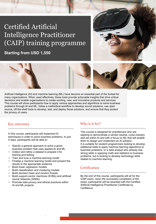# Certified Artificial Intelligence Practitioner (CAIP) training programme

**Starting from USD 1,550**





Artificial intelligence (AI) and machine learning (ML) have become an essential part of the toolset for many organisations. When used effectively, these tools provide actionable insights that drive critical decisions and enable organisations to create exciting, new, and innovative products and services. This course will show participants how to apply various approaches and algorithms to solve business problems through AI and ML, follow a methodical workflow to develop sound solutions, use open source, off-the-shelf tools to develop, test, and deploy those solutions, and ensure that they protect the privacy of users.

### Key outcomes Who is it for?

In this course, participants will implement AI techniques in order to solve business problems. In just 5 days, participants will be able to:

- Specify a general approach to solve a given business problem that uses applied AI and ML
- Collect and refine a dataset to prepare it for training and testing
- Train and tune a machine learning model
- Finalise a machine learning model and present the results to the appropriate audience
- Build linear regression models
- Build classification and clustering models
- Build decision trees and random forests
- Build support-vector machines (SVMs) and artificial neural networks (ANNs)

3

• Promote data privacy and ethical practices within AI and ML projects

This course is designed for practitioners who are seeking to demonstrate a vendor-neutral, cross-industry skill set within AI and with a focus on ML that will enable them to design and implement an AI solution. It is suitable for student programmers looking to develop additional skills to apply machine learning algorithms to business problems, or a data analyst who already has strong skills in applying math and statistics to business problems, but is looking to develop technology skills related to machine learning.

## **Certification**

By the end of this course, participants will sit for the CAIP exam. Upon the successful completion of the exam, participants will be awarded with the Certified Artificial Intelligence Practitioner Certificate by CertNexus.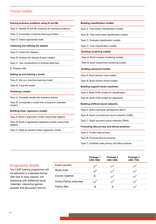## Course outline

| Solving business problems using AI and ML                             | <b>Building classification models</b>              |
|-----------------------------------------------------------------------|----------------------------------------------------|
| Topic A: Identify AI and ML solutions for business problems           | Topic A: Train binary classification models        |
| Topic C: Formulate a machine learning problem                         | Topic B: Train multi-class classification models   |
| Topic D: Select appropriate tools                                     | Topic C: Evaluate classification models            |
| <b>Collecting and refining the dataset</b>                            | Topic D: Tune classification models                |
| Topic A: Collect the dataset                                          | <b>Building clustering models</b>                  |
| Topic B: Analyze the dataset to gain insights                         | Topic A: Build k-means clustering models           |
| Topic C: Use visualizations to analyse data topic                     | Topic B: Build hierarchical clustering models      |
| D: Prepare data                                                       | <b>Building advanced models</b>                    |
| Setting up and training a model                                       | Topic A: Build decision tree models                |
| Topic A: Set up a machine learning model                              | Topic B: Build random forest models                |
| Topic B: Train the model                                              | <b>Building support-vector machines</b>            |
| <b>Finalising a model</b>                                             | Topic A: Build SVM models for classification       |
| Topic A: Translate results into business actions                      | Topic B: Build SVM models for regression           |
| Topic B: Incorporate a model into a long-term business<br>solution    | <b>Building artificial neural networks</b>         |
| <b>Building linear regression models</b>                              | Topic A: Build multi-layer perceptrons (MLP)       |
| Topic A: Build a regression model using linear algebra                | Topic B: Build convolutional neural networks (CNN) |
| Topic B: Build a regularised regression model using linear<br>algebra | Topic C: Build recurrent neural networks (RNN)     |
|                                                                       | Promoting data privacy and ethical practices       |
| Topic C: Build an iterative linear regression model                   | Topic A: Protect data privacy                      |
|                                                                       | Topic B: Promote ethical practices                 |

Topic C: Establish data privacy and ethics policies

<u> 1989 - Andrew Marie Barnett, amerikansk politik (d. 1989)</u>

|                         | Package 1<br><b>USD 1550</b> | Package 2<br><b>USD 1650</b> | Package 3<br><b>USD 1700</b> |
|-------------------------|------------------------------|------------------------------|------------------------------|
| Exam voucher            |                              |                              |                              |
| Study book              |                              |                              |                              |
| Course material         | X                            |                              |                              |
| Online Python exercises |                              |                              |                              |
| Python files            |                              |                              |                              |
|                         |                              |                              |                              |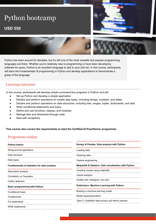# Python bootcamp

# **USD 550**





Python has been around for decades, but it's still one of the most versatile and popular programming languages out there. Whether you're relatively new to programming or have been developing software for years, Python is an excellent language to add to your skill set. In this course, participants will learn the fundamentals of programming in Python and develop applications to demonstrate a grasp of the language.

## Learning outcomes

In this course, participants will develop simple command-line programs in Python and will:

- Set up Python and develop a simple application
- Declare and perform operations on simple data types, including strings, numbers, and dates
- Declare and perform operations on data structures, including lists, ranges, tuples, dictionaries, and sets
- Write conditional statements and loops.
- Define and use functions, classes, and modules

5

- Manage files and directories through code
- Deal with exceptions

### **This course also covers the requirements to start the Certified AI Practitioner programme.**

## Programme outline

| <b>Python basics</b>                                | Numpy & Pandas: Data analysis with Python            |  |
|-----------------------------------------------------|------------------------------------------------------|--|
| String and list operations                          | Loading data                                         |  |
| Data structure                                      | Cleaning data                                        |  |
| Data types                                          | Feature engineering                                  |  |
| <b>Fundamentals of statistics for data analysis</b> | Matplotlib & Seaborn: Data visualisation with Python |  |
| Descriptive analysis                                | Creating visuals using matplotlib                    |  |
| Correlation vs Causation                            | Visual analytics                                     |  |
| Outlier detection                                   | Scatter plot, histogram, box plot                    |  |
| <b>Basic programming with Python</b>                | Scikit-learn: Machine Learning with Python           |  |
| Conditional loops                                   | Building a machine learning model                    |  |
| If statements                                       | Model hyperparameters                                |  |
| For statements                                      | Topic C: Establish data privacy and ethics policies  |  |
| While statements                                    |                                                      |  |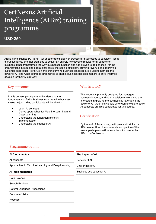# CertNexus Artificial Intelligence (AIBiz) training programme

# **USD 250**



Artificial Intelligence (AI) is not just another technology or process for businesses to consider – it's a disruptive force, one that promises to deliver an entirely new level of results for all aspects of business. It has transformed the way businesses function and has proven to be beneficial for the organisations in reducing operational costs, increasing efficiency, growing revenue and improving customer experience. To thrive in this transforming business landscape, it is vital to harness the power of AI. The AIBiz course is streamlined to enable business decision makers to drive informed decision for their AI strategy.

In this course, participants will understand the fundamentals of AI in business using real-life business cases. In just 1 day, participants will be able to:

- Learn AI concepts
- Derive approaches for Machine Learning and Deep Learning

6

- Understand the fundamentals of AI implementation
- Understand the impact of AI

### Key outcomes Who is it for?

This course is primarily designed for managers, business leaders, and other decision makers who are interested in growing the business by leveraging the power of AI. Other individuals who wish to explore basic AI concepts are also candidates for this course.

## **Certification**

By the end of this course, participants will sit for the AIBiz exam. Upon the successful completion of the exam, participants will receive the micro credential AIBiz, by CertNexus.

## Programme outline

| Al fundamentals                                  | The impact of Al          |
|--------------------------------------------------|---------------------------|
| AI concepts                                      | Benefits of AI            |
| Approaches to Machine Learning and Deep Learning | Challenges of Al          |
| Al implementation                                | Business use cases for AI |
| Data Science                                     |                           |
| Search Engines                                   |                           |
| Natural Language Processions                     |                           |
| <b>Computer Vision</b>                           |                           |
| <b>Robotics</b>                                  |                           |
|                                                  |                           |